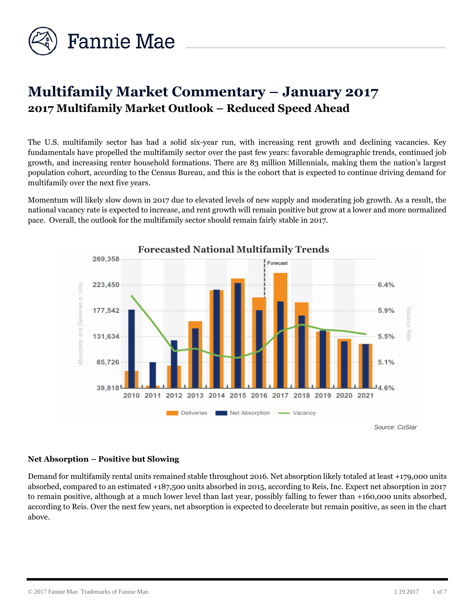

# **Multifamily Market Commentary – January 2017 2017 Multifamily Market Outlook – Reduced Speed Ahead**

The U.S. multifamily sector has had a solid six-year run, with increasing rent growth and declining vacancies. Key fundamentals have propelled the multifamily sector over the past few years: favorable demographic trends, continued job growth, and increasing renter household formations. There are 83 million Millennials, making them the nation's largest population cohort, according to the Census Bureau, and this is the cohort that is expected to continue driving demand for multifamily over the next five years.

Momentum will likely slow down in 2017 due to elevated levels of new supply and moderating job growth. As a result, the national vacancy rate is expected to increase, and rent growth will remain positive but grow at a lower and more normalized pace. Overall, the outlook for the multifamily sector should remain fairly stable in 2017.



# **Net Absorption – Positive but Slowing**

Demand for multifamily rental units remained stable throughout 2016. Net absorption likely totaled at least +179,000 units absorbed, compared to an estimated +187,500 units absorbed in 2015, according to Reis, Inc. Expect net absorption in 2017 to remain positive, although at a much lower level than last year, possibly falling to fewer than +160,000 units absorbed, according to Reis. Over the next few years, net absorption is expected to decelerate but remain positive, as seen in the chart above.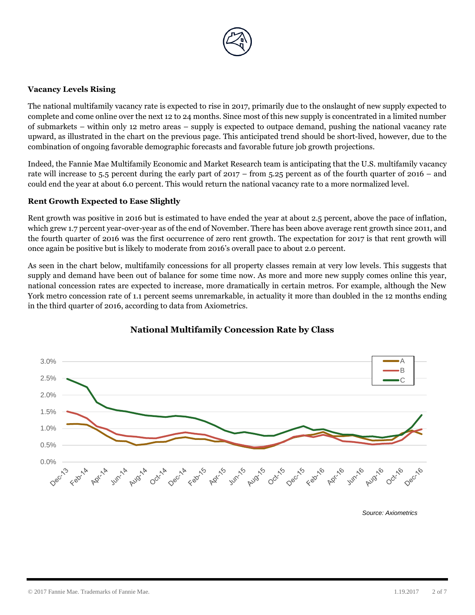

# **Vacancy Levels Rising**

The national multifamily vacancy rate is expected to rise in 2017, primarily due to the onslaught of new supply expected to complete and come online over the next 12 to 24 months. Since most of this new supply is concentrated in a limited number of submarkets – within only 12 metro areas – supply is expected to outpace demand, pushing the national vacancy rate upward, as illustrated in the chart on the previous page. This anticipated trend should be short-lived, however, due to the combination of ongoing favorable demographic forecasts and favorable future job growth projections.

Indeed, the Fannie Mae Multifamily Economic and Market Research team is anticipating that the U.S. multifamily vacancy rate will increase to 5.5 percent during the early part of 2017 – from 5.25 percent as of the fourth quarter of 2016 – and could end the year at about 6.0 percent. This would return the national vacancy rate to a more normalized level.

# **Rent Growth Expected to Ease Slightly**

Rent growth was positive in 2016 but is estimated to have ended the year at about 2.5 percent, above the pace of inflation, which grew 1.7 percent year-over-year as of the end of November. There has been above average rent growth since 2011, and the fourth quarter of 2016 was the first occurrence of zero rent growth. The expectation for 2017 is that rent growth will once again be positive but is likely to moderate from 2016's overall pace to about 2.0 percent.

As seen in the chart below, multifamily concessions for all property classes remain at very low levels. This suggests that supply and demand have been out of balance for some time now. As more and more new supply comes online this year, national concession rates are expected to increase, more dramatically in certain metros. For example, although the New York metro concession rate of 1.1 percent seems unremarkable, in actuality it more than doubled in the 12 months ending in the third quarter of 2016, according to data from Axiometrics.



# **National Multifamily Concession Rate by Class**

*Source: Axiometrics*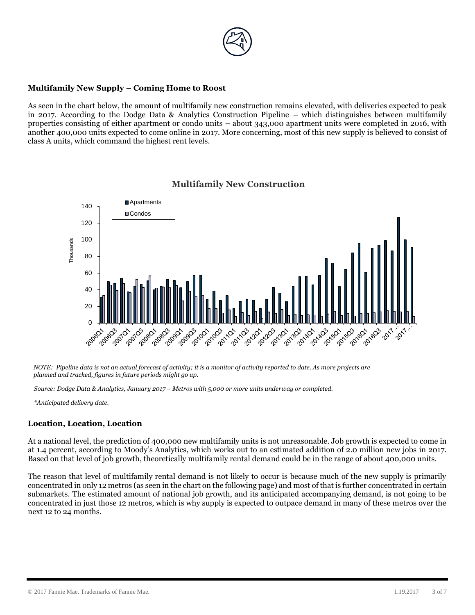

## **Multifamily New Supply – Coming Home to Roost**

As seen in the chart below, the amount of multifamily new construction remains elevated, with deliveries expected to peak in 2017. According to the Dodge Data & Analytics Construction Pipeline – which distinguishes between multifamily properties consisting of either apartment or condo units – about 343,000 apartment units were completed in 2016, with another 400,000 units expected to come online in 2017. More concerning, most of this new supply is believed to consist of class A units, which command the highest rent levels.



## **Multifamily New Construction**

*NOTE: Pipeline data is not an actual forecast of activity; it is a monitor of activity reported to date. As more projects are planned and tracked, figures in future periods might go up.* 

*Source: Dodge Data & Analytics, January 2017 – Metros with 5,000 or more units underway or completed.*

*\*Anticipated delivery date.*

#### **Location, Location, Location**

At a national level, the prediction of 400,000 new multifamily units is not unreasonable. Job growth is expected to come in at 1.4 percent, according to Moody's Analytics, which works out to an estimated addition of 2.0 million new jobs in 2017. Based on that level of job growth, theoretically multifamily rental demand could be in the range of about 400,000 units.

The reason that level of multifamily rental demand is not likely to occur is because much of the new supply is primarily concentrated in only 12 metros (as seen in the chart on the following page) and most of that is further concentrated in certain submarkets. The estimated amount of national job growth, and its anticipated accompanying demand, is not going to be concentrated in just those 12 metros, which is why supply is expected to outpace demand in many of these metros over the next 12 to 24 months.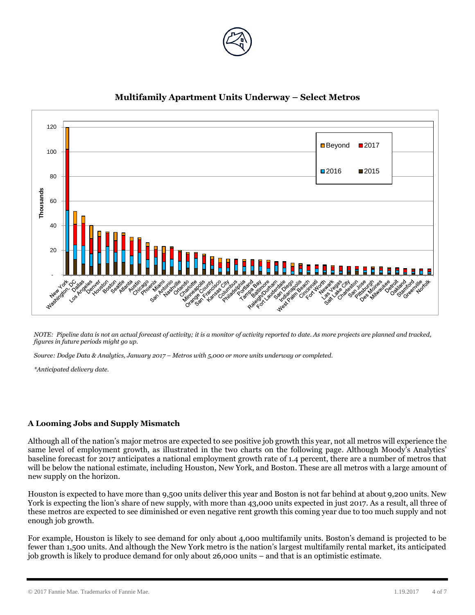



# **Multifamily Apartment Units Underway – Select Metros**

*NOTE: Pipeline data is not an actual forecast of activity; it is a monitor of activity reported to date. As more projects are planned and tracked, figures in future periods might go up.* 

*Source: Dodge Data & Analytics, January 2017 – Metros with 5,000 or more units underway or completed.*

*\*Anticipated delivery date.*

# **A Looming Jobs and Supply Mismatch**

Although all of the nation's major metros are expected to see positive job growth this year, not all metros will experience the same level of employment growth, as illustrated in the two charts on the following page. Although Moody's Analytics' baseline forecast for 2017 anticipates a national employment growth rate of 1.4 percent, there are a number of metros that will be below the national estimate, including Houston, New York, and Boston. These are all metros with a large amount of new supply on the horizon.

Houston is expected to have more than 9,500 units deliver this year and Boston is not far behind at about 9,200 units. New York is expecting the lion's share of new supply, with more than 43,000 units expected in just 2017. As a result, all three of these metros are expected to see diminished or even negative rent growth this coming year due to too much supply and not enough job growth.

For example, Houston is likely to see demand for only about 4,000 multifamily units. Boston's demand is projected to be fewer than 1,500 units. And although the New York metro is the nation's largest multifamily rental market, its anticipated job growth is likely to produce demand for only about 26,000 units – and that is an optimistic estimate.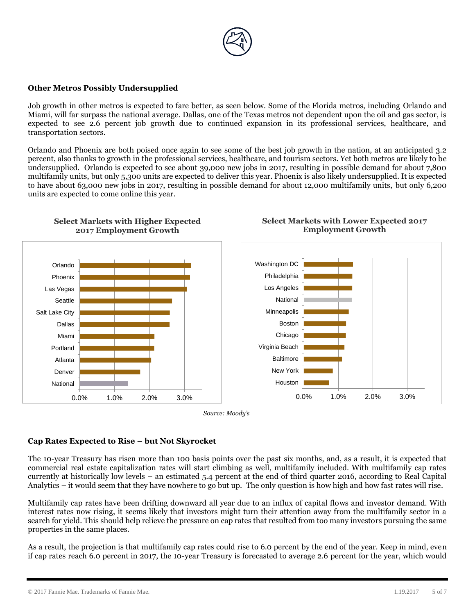

## **Other Metros Possibly Undersupplied**

Job growth in other metros is expected to fare better, as seen below. Some of the Florida metros, including Orlando and Miami, will far surpass the national average. Dallas, one of the Texas metros not dependent upon the oil and gas sector, is expected to see 2.6 percent job growth due to continued expansion in its professional services, healthcare, and transportation sectors.

Orlando and Phoenix are both poised once again to see some of the best job growth in the nation, at an anticipated 3.2 percent, also thanks to growth in the professional services, healthcare, and tourism sectors. Yet both metros are likely to be undersupplied. Orlando is expected to see about 39,000 new jobs in 2017, resulting in possible demand for about 7,800 multifamily units, but only 5,300 units are expected to deliver this year. Phoenix is also likely undersupplied. It is expected to have about 63,000 new jobs in 2017, resulting in possible demand for about 12,000 multifamily units, but only 6,200 units are expected to come online this year.

**Select Markets with Lower Expected 2017** 



**Select Markets with Higher Expected 2017 Employment Growth**



#### **Cap Rates Expected to Rise – but Not Skyrocket**

The 10-year Treasury has risen more than 100 basis points over the past six months, and, as a result, it is expected that commercial real estate capitalization rates will start climbing as well, multifamily included. With multifamily cap rates currently at historically low levels – an estimated 5.4 percent at the end of third quarter 2016, according to Real Capital Analytics – it would seem that they have nowhere to go but up. The only question is how high and how fast rates will rise.

Multifamily cap rates have been drifting downward all year due to an influx of capital flows and investor demand. With interest rates now rising, it seems likely that investors might turn their attention away from the multifamily sector in a search for yield. This should help relieve the pressure on cap rates that resulted from too many investors pursuing the same properties in the same places.

As a result, the projection is that multifamily cap rates could rise to 6.0 percent by the end of the year. Keep in mind, even if cap rates reach 6.0 percent in 2017, the 10-year Treasury is forecasted to average 2.6 percent for the year, which would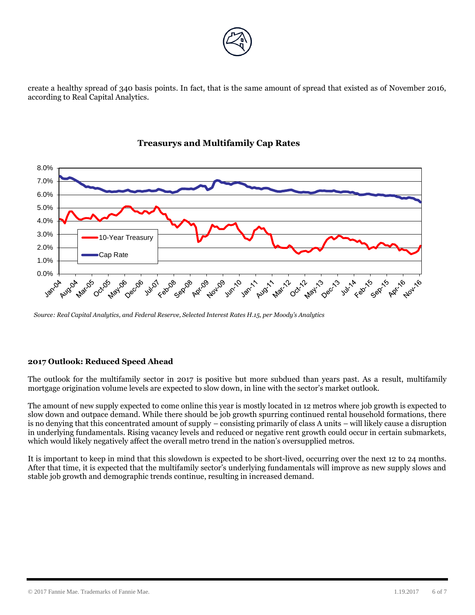

create a healthy spread of 340 basis points. In fact, that is the same amount of spread that existed as of November 2016, according to Real Capital Analytics.



# **Treasurys and Multifamily Cap Rates**

*Source: Real Capital Analytics, and Federal Reserve, Selected Interest Rates H.15, per Moody's Analytics*

# **2017 Outlook: Reduced Speed Ahead**

The outlook for the multifamily sector in 2017 is positive but more subdued than years past. As a result, multifamily mortgage origination volume levels are expected to slow down, in line with the sector's market outlook.

The amount of new supply expected to come online this year is mostly located in 12 metros where job growth is expected to slow down and outpace demand. While there should be job growth spurring continued rental household formations, there is no denying that this concentrated amount of supply – consisting primarily of class A units – will likely cause a disruption in underlying fundamentals. Rising vacancy levels and reduced or negative rent growth could occur in certain submarkets, which would likely negatively affect the overall metro trend in the nation's oversupplied metros.

It is important to keep in mind that this slowdown is expected to be short-lived, occurring over the next 12 to 24 months. After that time, it is expected that the multifamily sector's underlying fundamentals will improve as new supply slows and stable job growth and demographic trends continue, resulting in increased demand.